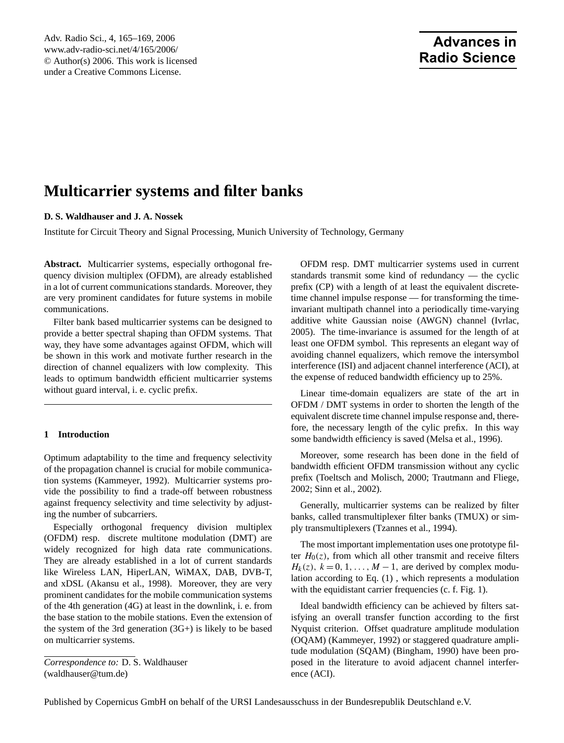# **Advances in Radio Science**

# **Multicarrier systems and filter banks**

# **D. S. Waldhauser and J. A. Nossek**

Institute for Circuit Theory and Signal Processing, Munich University of Technology, Germany

**Abstract.** Multicarrier systems, especially orthogonal frequency division multiplex (OFDM), are already established in a lot of current communications standards. Moreover, they are very prominent candidates for future systems in mobile communications.

Filter bank based multicarrier systems can be designed to provide a better spectral shaping than OFDM systems. That way, they have some advantages against OFDM, which will be shown in this work and motivate further research in the direction of channel equalizers with low complexity. This leads to optimum bandwidth efficient multicarrier systems without guard interval, i. e. cyclic prefix.

## **1 Introduction**

Optimum adaptability to the time and frequency selectivity of the propagation channel is crucial for mobile communication systems [\(Kammeyer,](#page-4-0) [1992\)](#page-4-0). Multicarrier systems provide the possibility to find a trade-off between robustness against frequency selectivity and time selectivity by adjusting the number of subcarriers.

Especially orthogonal frequency division multiplex (OFDM) resp. discrete multitone modulation (DMT) are widely recognized for high data rate communications. They are already established in a lot of current standards like Wireless LAN, HiperLAN, WiMAX, DAB, DVB-T, and xDSL [\(Akansu et al.,](#page-3-0) [1998\)](#page-3-0). Moreover, they are very prominent candidates for the mobile communication systems of the 4th generation (4G) at least in the downlink, i. e. from the base station to the mobile stations. Even the extension of the system of the 3rd generation  $(3G+)$  is likely to be based on multicarrier systems.

OFDM resp. DMT multicarrier systems used in current standards transmit some kind of redundancy — the cyclic prefix (CP) with a length of at least the equivalent discretetime channel impulse response — for transforming the timeinvariant multipath channel into a periodically time-varying additive white Gaussian noise (AWGN) channel [\(Ivrlac,](#page-3-1) [2005\)](#page-3-1). The time-invariance is assumed for the length of at least one OFDM symbol. This represents an elegant way of avoiding channel equalizers, which remove the intersymbol interference (ISI) and adjacent channel interference (ACI), at the expense of reduced bandwidth efficiency up to 25%.

Linear time-domain equalizers are state of the art in OFDM / DMT systems in order to shorten the length of the equivalent discrete time channel impulse response and, therefore, the necessary length of the cylic prefix. In this way some bandwidth efficiency is saved [\(Melsa et al.,](#page-4-1) [1996\)](#page-4-1).

Moreover, some research has been done in the field of bandwidth efficient OFDM transmission without any cyclic prefix [\(Toeltsch and Molisch,](#page-4-2) [2000;](#page-4-2) [Trautmann and Fliege,](#page-4-3) [2002;](#page-4-3) [Sinn et al.,](#page-4-4) [2002\)](#page-4-4).

Generally, multicarrier systems can be realized by filter banks, called transmultiplexer filter banks (TMUX) or simply transmultiplexers [\(Tzannes et al.,](#page-4-5) [1994\)](#page-4-5).

The most important implementation uses one prototype filter  $H<sub>0</sub>(z)$ , from which all other transmit and receive filters  $H_k(z)$ ,  $k = 0, 1, \ldots, M - 1$ , are derived by complex modulation according to Eq. [\(1\)](#page-1-0) , which represents a modulation with the equidistant carrier frequencies (c. f. Fig. [1\)](#page-1-1).

Ideal bandwidth efficiency can be achieved by filters satisfying an overall transfer function according to the first Nyquist criterion. Offset quadrature amplitude modulation (OQAM) [\(Kammeyer,](#page-4-0) [1992\)](#page-4-0) or staggered quadrature amplitude modulation (SQAM) [\(Bingham,](#page-3-2) [1990\)](#page-3-2) have been proposed in the literature to avoid adjacent channel interference (ACI).

<span id="page-0-0"></span>*Correspondence to:* D. S. Waldhauser (waldhauser@tum.de)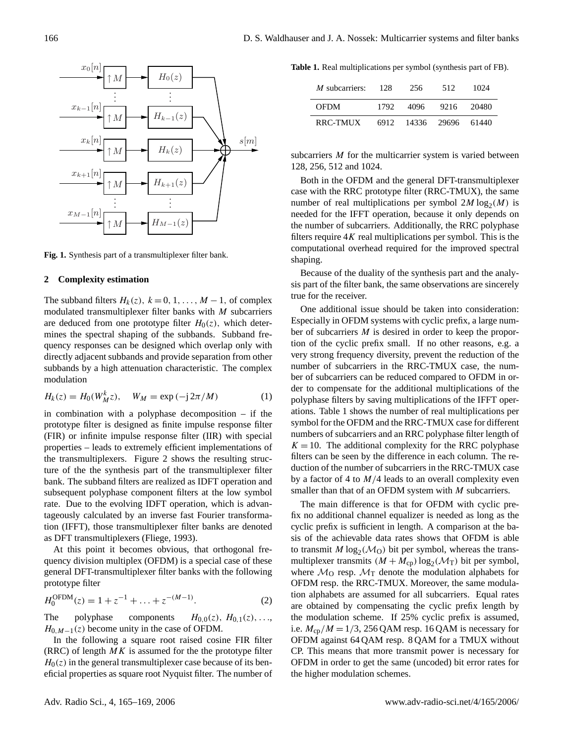$\uparrow$   $M$  $\uparrow$   $M$ ↑M  $\uparrow$   $M$  $H_0(z)$  $H_{k-1}(z)$  $H_k(z)$  $H_{k+1}(z)$  $H_{M-1}(z)$  $x_0|n$  $x_{k-1}|n$  $x_k|n$  $x_{k+1}[n]$  $x_{M-1}[n]$  $s[m]$ . . . . .  $\frac{1}{2}$  .  $\frac{1}{2}$ . . . . .

<span id="page-1-1"></span>Fig. 1. Synthesis part of a transmultiplexer filter bank.

#### 2 Complexity estimation **2 Complexity estimation**

The subband filters  $H_k(z)$ ,  $k = 0, 1, ..., M - 1$ , of complex modulated transmultiplexer filter banks with  $M$  subcarriers are deduced from one prototype filter  $H_0(z)$ , which determines the spectral shaping of the subbands. Subband frequency responses can be designed which overlap only with subbands by a high attenuation characteristic. The complex  $\sum_{i=1}^n$ directly adjacent subbands and provide separation from other modulation

$$
H_k(z) = H_0(W_M^k z), \quad W_M = \exp(-j2\pi/M)
$$
 (1)

<span id="page-1-0"></span>in combination with a polyphase decomposition – if the prototype filter is designed as finite impulse response filter Figure 2 shows the results in the response filter (IIR) with special (FIR) or infinite impulse response filter (IIR) with special properties – leads to extremely efficient implementations of the transmultiplexers. Figure [2](#page-2-0) shows the resulting structure of the the synthesis part of the transmultiplexer filter bank. The subband filters are realized as IDFT operation and subsequent polyphase component filters at the low symbol rate. Due to the evolving IDFT operation, which is advantageously calculated by an inverse fast Fourier transformation (IFFT), those transmultiplexer filter banks are denoted as DFT transmultiplexers [\(Fliege,](#page-3-3) [1993\)](#page-3-3).

At this point it becomes obvious, that orthogonal frequency division multiplex (OFDM) is a special case of these general DFT-transmultiplexer filter banks with the following prototype filter

$$
H_0^{\text{OFDM}}(z) = 1 + z^{-1} + \dots + z^{-(M-1)}.
$$
 (2)

The polyphase components  $H_{0,0}(z)$ ,  $H_{0,1}(z)$ , ...  $H_{0,M-1}(z)$  become unity in the case of OFDM.

In the following a square root raised cosine FIR filter (RRC) of length  $MK$  is assumed for the the prototype filter  $H<sub>0</sub>(z)$  in the general transmultiplexer case because of its beneficial properties as square root Nyquist filter. The number of **Table 1.** Real multiplications per symbol (synthesis part of FB).

<span id="page-1-2"></span>

| <i>M</i> subcarriers: $128$     | 256 512 |                      | -1024 |
|---------------------------------|---------|----------------------|-------|
| <b>OFDM</b>                     |         | 1792 4096 9216 20480 |       |
| RRC-TMUX 6912 14336 29696 61440 |         |                      |       |

 $A_{\rm eff}$  this point it becomes obvious, that orthogonal freesubcarriers M for the multicarrier system is varied between  $\delta$ , 250, 312 and 1024. 128, 256, 512 and 1024.

Both in the OFDM and the general DFT-transmultiplexer number of real multiplications per symbol  $2M \log_2(M)$  is<br>needed for the UEC operation, because it only depends on the number of subcarriers. Additionally, the RRC polyphase filters require 4K real multiplications per symbol. This is the case of  $\ell$  is the case of  $\ell$ computational overhead required for the improved spectral  $R<sub>max</sub>$  of length MK is assumed for the prototype file-prototype file-prototype file-prototype file-prototype file-prototype file-prototype file-prototype file-prototype file-prototype file-prototype file-prototype fil case with the RRC prototype filter (RRC-TMUX), the same needed for the IFFT operation, because it only depends on shaping.

Because of the duality of the synthesis part and the analysis part of the filter bank, the same observations are sincerely true for the receiver.

One additional issue should be taken into consideration: Especially in OFDM systems with cyclic prefix, a large number of subcarriers  $M$  is desired in order to keep the proportion of the cyclic prefix small. If no other reasons, e.g. a<br>tion of the cyclic prefixity prevent the reduction of the very strong frequency diversity, prevent the reduction of the humber of subcarriers in the KKC-1MCX case, the hum-<br>ber of subcarriers can be reduced compared to OFDM in orfor or subcurriers can be reduced computed to Of DM in order to compensate for the additional multiplications of the polyphase filters by saving multiplications of the IFFT oper- $\frac{1}{2}$  $\frac{1}{2}$  $\frac{1}{2}$  ations. Table 1 shows the number of real multiplications per symbol for the OFDM and the RRC-TMUX case for different numbers of subcarriers and an RRC polyphase filter length of  $K = 10$ . The additional complexity for the RRC polyphase number of subcarriers in the RRC-TMUX case, the numfilters can be seen by the difference in each column. The reduction of the number of subcarriers in the RRC-TMUX case by a factor of 4 to  $M/4$  leads to an overall complexity even smaller than that of an OFDM system with *M* subcarriers.

The main difference is that for OFDM with cyclic prefix no additional channel equalizer is needed as long as the cyclic prefix is sufficient in length. A comparison at the basis of the achievable data rates shows that OFDM is able to transmit  $M \log_2(M_O)$  bit per symbol, whereas the transmultiplexer transmits  $(M + M_{cp}) \log_2(M_T)$  bit per symbol, where  $\mathcal{M}_0$  resp.  $\mathcal{M}_T$  denote the modulation alphabets for OFDM resp. the RRC-TMUX. Moreover, the same modulation alphabets are assumed for all subcarriers. Equal rates are obtained by compensating the cyclic prefix length by the modulation scheme. If 25% cyclic prefix is assumed, i.e.  $M_{\rm cp}/M = 1/3$ , 256 QAM resp. 16 QAM is necessary for OFDM against 64 QAM resp. 8 QAM for a TMUX without CP. This means that more transmit power is necessary for OFDM in order to get the same (uncoded) bit error rates for the higher modulation schemes.

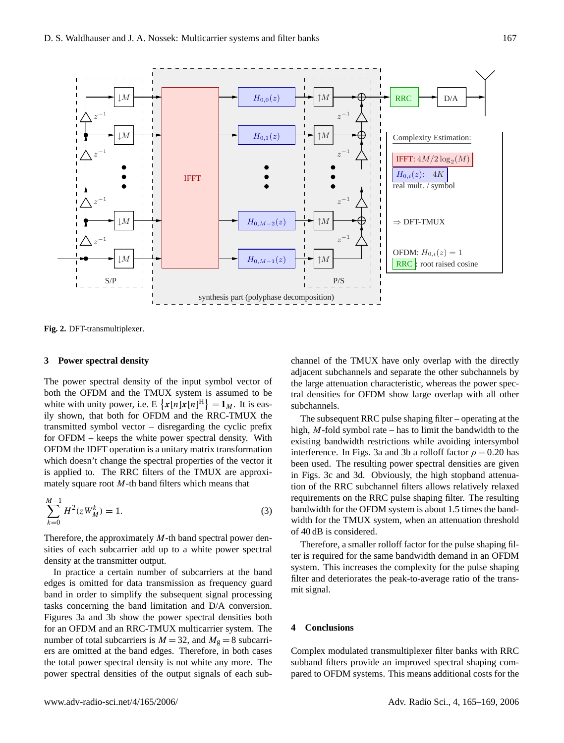

<span id="page-2-0"></span>**Fig. 2.** DFT-transmultiplexer **Fig. 2.** DFT-transmultiplexer.

# **3** Power spectral density

both the OFDM and the TMUX system is assumed to be OFDM the IDFT operation is a unitary matrix transformation transmitted symbol vector – disregarding the cyclic prefix *-in dand iliters wr* spectra ily shown, that both for OFDM and the RRC-TMUX the for OFDM – keeps the white power spectral density. With  $x^2 + y^2 = 0$  and  $y^2 - z^2 = 0$  and  $z^2 - z^2 = 0$  and  $z^2 - z^2 = 0$  and  $z^2 - z^2 = 0$  and  $z^2 - z^2 = 0$  and  $z^2 - z^2 = 0$  and  $z^2 - z^2 = 0$  and  $z^2 - z^2 = 0$  and  $z^2 - z^2 = 0$  and  $z^2 - z^2 = 0$  and  $z^2 - z^2 = 0$  and  $z^2 - z^2 = 0$  and . . which doesn't change the spectral properties of the vector it . . . . is applied to. The RRC filters of the TMUX are approxi-The power spectral density of the input symbol vector of white with unity power, i.e.  $E\left\{x[n]x[n]^{\text{H}}\right\} = \mathbf{1}_M$ . It is eas-

$$
\sum_{k=0}^{M-1} H^2(zW_M^k) = 1.
$$
\n(3)

Therefore, the approximately  $M$ -th band spectral power densities of each subcarrier add up to a white power spectral  $\frac{1}{2}$  at the transmitter output. density at the transmitter output.

In practice a certain number of subcarriers at the band edges is omitted for data transmission as frequency guard band in order to simplify the subsequent signal processing Higures 3a and 3b show the power spectral densities both for an OFDM and an RRC-TMUX multicarrier system. The number of total subcarriers is  $M = 32$ , and  $M<sub>g</sub> = 8$  subcarriers are omitted at the band edges. Therefore, in both cases the total power spectral density is not white any more. The power spectral densities of the output signals of each subtasks concerning the band limitation and D/A conversion.

channel of the TMUX have only overlap with the directly adjacent subchannels and separate the other subchannels by the large attenuation characteristic, whereas the power spectral densities for OFDM show large overlap with all other subchannels.

The subsequent RRC pulse shaping filter – operating at the high,  $M$ -fold symbol rate – has to limit the bandwidth to the existing bandwidth restrictions while avoiding intersymbol interference. In Figs. 3a and 3b a rolloff factor  $\rho = 0.20$  has been used. The resulting power spectral densities are given<br>in Figs. 3c and 3d. Obviously, the high stopband attenuation of the RRC subchannel filters allows relatively relaxed requirements on the RRC pulse shaping filter. The resulting bandwidth for the OFDM system is about 1.5 times the bandwidth for the TMUX system, when an attenuation threshold of  $40$  dB is considered. been used. The resulting power spectral densities are given

Therefore, a smaller rolloff factor for the pulse shaping filter is required for the same bandwidth demand in an OFDM system. This increases the complexity for the pulse shaping filter and deteriorates the peak-to-average ratio of the transcase with the RRC prototype filter (RRC-TMUX), the same mit signal. number of real multiplications per symbol 2M log<sup>2</sup>

## $\tau$  and  $\tau$  subcarriers. Additionally, the RRC polyphase  $\tau$ filters require 4K real multiplications per symbol. This is the **4 Conclusions**

Complex modulated transmultiplexer filter banks with RRC subband filters provide an improved spectral shaping compared to OFDM systems. This means additional costs for the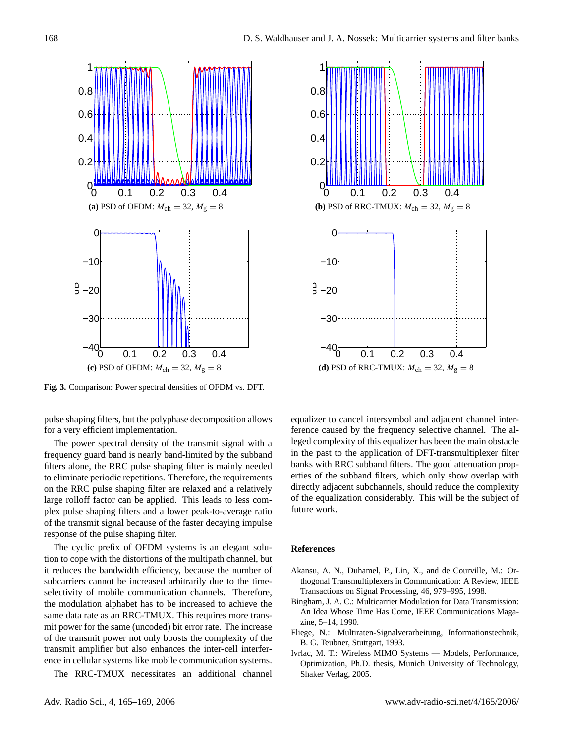

**Fig. 3.** Comparison: Power spectral densities of OFDM vs. DFT.

pulse shaping filters, but the polyphase decomposition allows for a very efficient implementation.

The power spectral density of the transmit signal with a frequency guard band is nearly band-limited by the subband filters alone, the RRC pulse shaping filter is mainly needed to eliminate periodic repetitions. Therefore, the requirements on the RRC pulse shaping filter are relaxed and a relatively large rolloff factor can be applied. This leads to less complex pulse shaping filters and a lower peak-to-average ratio of the transmit signal because of the faster decaying impulse response of the pulse shaping filter.

The cyclic prefix of OFDM systems is an elegant solution to cope with the distortions of the multipath channel, but it reduces the bandwidth efficiency, because the number of subcarriers cannot be increased arbitrarily due to the timeselectivity of mobile communication channels. Therefore, the modulation alphabet has to be increased to achieve the same data rate as an RRC-TMUX. This requires more transmit power for the same (uncoded) bit error rate. The increase of the transmit power not only boosts the complexity of the transmit amplifier but also enhances the inter-cell interference in cellular systems like mobile communication systems.

The RRC-TMUX necessitates an additional channel



equalizer to cancel intersymbol and adjacent channel interference caused by the frequency selective channel. The alleged complexity of this equalizer has been the main obstacle in the past to the application of DFT-transmultiplexer filter banks with RRC subband filters. The good attenuation properties of the subband filters, which only show overlap with directly adjacent subchannels, should reduce the complexity of the equalization considerably. This will be the subject of future work.

### **References**

- <span id="page-3-0"></span>Akansu, A. N., Duhamel, P., Lin, X., and de Courville, M.: Orthogonal Transmultiplexers in Communication: A Review, IEEE Transactions on Signal Processing, 46, 979–995, 1998.
- <span id="page-3-2"></span>Bingham, J. A. C.: Multicarrier Modulation for Data Transmission: An Idea Whose Time Has Come, IEEE Communications Magazine, 5–14, 1990.
- <span id="page-3-3"></span>Fliege, N.: Multiraten-Signalverarbeitung, Informationstechnik, B. G. Teubner, Stuttgart, 1993.
- <span id="page-3-1"></span>Ivrlac, M. T.: Wireless MIMO Systems — Models, Performance, Optimization, Ph.D. thesis, Munich University of Technology, Shaker Verlag, 2005.